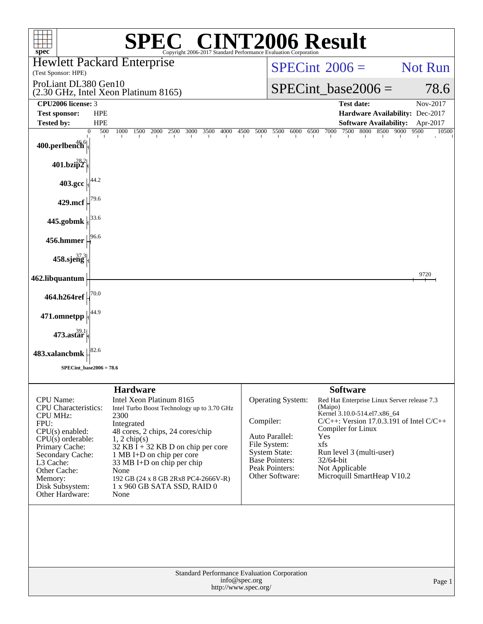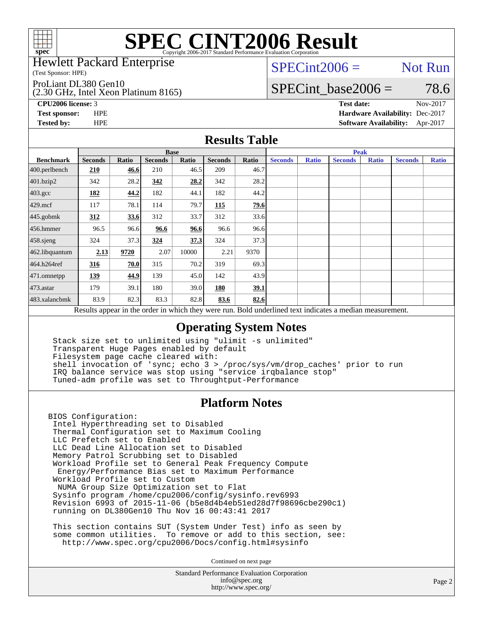

Hewlett Packard Enterprise

(Test Sponsor: HPE)

ProLiant DL380 Gen10

(2.30 GHz, Intel Xeon Platinum 8165)

 $SPECint2006 =$  Not Run

### SPECint base2006 =  $78.6$

**[CPU2006 license:](http://www.spec.org/auto/cpu2006/Docs/result-fields.html#CPU2006license)** 3 **[Test date:](http://www.spec.org/auto/cpu2006/Docs/result-fields.html#Testdate)** Nov-2017 **[Test sponsor:](http://www.spec.org/auto/cpu2006/Docs/result-fields.html#Testsponsor)** HPE **[Hardware Availability:](http://www.spec.org/auto/cpu2006/Docs/result-fields.html#HardwareAvailability)** Dec-2017 **[Tested by:](http://www.spec.org/auto/cpu2006/Docs/result-fields.html#Testedby)** HPE **[Software Availability:](http://www.spec.org/auto/cpu2006/Docs/result-fields.html#SoftwareAvailability)** Apr-2017

#### **[Results Table](http://www.spec.org/auto/cpu2006/Docs/result-fields.html#ResultsTable)**

|                                                                                                          | <b>Base</b>    |       |                |       |                |       | <b>Peak</b>    |              |                |              |                |              |
|----------------------------------------------------------------------------------------------------------|----------------|-------|----------------|-------|----------------|-------|----------------|--------------|----------------|--------------|----------------|--------------|
| <b>Benchmark</b>                                                                                         | <b>Seconds</b> | Ratio | <b>Seconds</b> | Ratio | <b>Seconds</b> | Ratio | <b>Seconds</b> | <b>Ratio</b> | <b>Seconds</b> | <b>Ratio</b> | <b>Seconds</b> | <b>Ratio</b> |
| 400.perlbench                                                                                            | 210            | 46.6  | 210            | 46.5  | 209            | 46.7  |                |              |                |              |                |              |
| 401.bzip2                                                                                                | 342            | 28.2  | 342            | 28.2  | 342            | 28.2  |                |              |                |              |                |              |
| $403.\mathrm{gcc}$                                                                                       | 182            | 44.2  | 182            | 44.1  | 182            | 44.2  |                |              |                |              |                |              |
| $429$ .mcf                                                                                               | 117            | 78.1  | 114            | 79.7  | 115            | 79.6  |                |              |                |              |                |              |
| $445$ .gobmk                                                                                             | 312            | 33.6  | 312            | 33.7  | 312            | 33.6  |                |              |                |              |                |              |
| $456.$ hmmer                                                                                             | 96.5           | 96.6  | 96.6           | 96.6  | 96.6           | 96.6  |                |              |                |              |                |              |
| 458.sjeng                                                                                                | 324            | 37.3  | 324            | 37.3  | 324            | 37.3  |                |              |                |              |                |              |
| 462.libquantum                                                                                           | 2.13           | 9720  | 2.07           | 10000 | 2.21           | 9370  |                |              |                |              |                |              |
| 464.h264ref                                                                                              | 316            | 70.0  | 315            | 70.2  | 319            | 69.3  |                |              |                |              |                |              |
| $ 471$ .omnetpp                                                                                          | 139            | 44.9  | 139            | 45.0  | 142            | 43.9  |                |              |                |              |                |              |
| $473$ . astar                                                                                            | 179            | 39.1  | 180            | 39.0  | 180            | 39.1  |                |              |                |              |                |              |
| 483.xalancbmk                                                                                            | 83.9           | 82.3  | 83.3           | 82.8  | 83.6           | 82.6  |                |              |                |              |                |              |
| Results appear in the order in which they were run. Bold underlined text indicates a median measurement. |                |       |                |       |                |       |                |              |                |              |                |              |

### **[Operating System Notes](http://www.spec.org/auto/cpu2006/Docs/result-fields.html#OperatingSystemNotes)**

 Stack size set to unlimited using "ulimit -s unlimited" Transparent Huge Pages enabled by default Filesystem page cache cleared with: shell invocation of 'sync; echo 3 > /proc/sys/vm/drop\_caches' prior to run IRQ balance service was stop using "service irqbalance stop" Tuned-adm profile was set to Throughtput-Performance

#### **[Platform Notes](http://www.spec.org/auto/cpu2006/Docs/result-fields.html#PlatformNotes)**

BIOS Configuration: Intel Hyperthreading set to Disabled Thermal Configuration set to Maximum Cooling LLC Prefetch set to Enabled LLC Dead Line Allocation set to Disabled Memory Patrol Scrubbing set to Disabled Workload Profile set to General Peak Frequency Compute Energy/Performance Bias set to Maximum Performance Workload Profile set to Custom NUMA Group Size Optimization set to Flat Sysinfo program /home/cpu2006/config/sysinfo.rev6993 Revision 6993 of 2015-11-06 (b5e8d4b4eb51ed28d7f98696cbe290c1) running on DL380Gen10 Thu Nov 16 00:43:41 2017

 This section contains SUT (System Under Test) info as seen by some common utilities. To remove or add to this section, see: <http://www.spec.org/cpu2006/Docs/config.html#sysinfo>

Continued on next page

Standard Performance Evaluation Corporation [info@spec.org](mailto:info@spec.org) <http://www.spec.org/>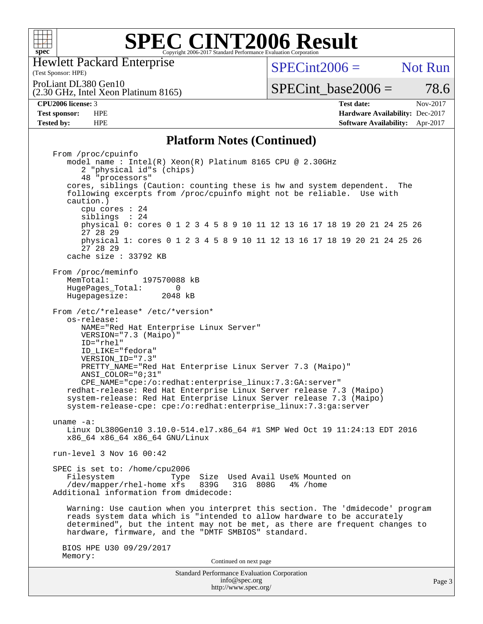

(Test Sponsor: HPE) Hewlett Packard Enterprise

 $SPECint2006 =$  Not Run

ProLiant DL380 Gen10

(2.30 GHz, Intel Xeon Platinum 8165)

**[Test sponsor:](http://www.spec.org/auto/cpu2006/Docs/result-fields.html#Testsponsor)** HPE **[Hardware Availability:](http://www.spec.org/auto/cpu2006/Docs/result-fields.html#HardwareAvailability)** Dec-2017 **[Tested by:](http://www.spec.org/auto/cpu2006/Docs/result-fields.html#Testedby)** HPE **[Software Availability:](http://www.spec.org/auto/cpu2006/Docs/result-fields.html#SoftwareAvailability)** Apr-2017

SPECint base2006 =  $78.6$ **[CPU2006 license:](http://www.spec.org/auto/cpu2006/Docs/result-fields.html#CPU2006license)** 3 **[Test date:](http://www.spec.org/auto/cpu2006/Docs/result-fields.html#Testdate)** Nov-2017

### **[Platform Notes \(Continued\)](http://www.spec.org/auto/cpu2006/Docs/result-fields.html#PlatformNotes)**

Standard Performance Evaluation Corporation [info@spec.org](mailto:info@spec.org) From /proc/cpuinfo model name : Intel(R) Xeon(R) Platinum 8165 CPU @ 2.30GHz 2 "physical id"s (chips) 48 "processors" cores, siblings (Caution: counting these is hw and system dependent. The following excerpts from /proc/cpuinfo might not be reliable. Use with caution.) cpu cores : 24 siblings : 24 physical 0: cores 0 1 2 3 4 5 8 9 10 11 12 13 16 17 18 19 20 21 24 25 26 27 28 29 physical 1: cores 0 1 2 3 4 5 8 9 10 11 12 13 16 17 18 19 20 21 24 25 26 27 28 29 cache size : 33792 KB From /proc/meminfo<br>MemTotal: 197570088 kB HugePages\_Total: 0<br>Hugepagesize: 2048 kB Hugepagesize: From /etc/\*release\* /etc/\*version\* os-release: NAME="Red Hat Enterprise Linux Server" VERSION="7.3 (Maipo)" ID="rhel" ID\_LIKE="fedora" VERSION\_ID="7.3" PRETTY\_NAME="Red Hat Enterprise Linux Server 7.3 (Maipo)" ANSI\_COLOR="0;31" CPE\_NAME="cpe:/o:redhat:enterprise\_linux:7.3:GA:server" redhat-release: Red Hat Enterprise Linux Server release 7.3 (Maipo) system-release: Red Hat Enterprise Linux Server release 7.3 (Maipo) system-release-cpe: cpe:/o:redhat:enterprise\_linux:7.3:ga:server uname -a: Linux DL380Gen10 3.10.0-514.el7.x86\_64 #1 SMP Wed Oct 19 11:24:13 EDT 2016 x86\_64 x86\_64 x86\_64 GNU/Linux run-level 3 Nov 16 00:42 SPEC is set to: /home/cpu2006 Filesystem Type Size Used Avail Use% Mounted on<br>/dev/mapper/rhel-home xfs 839G 31G 808G 4% /home /dev/mapper/rhel-home xfs 839G Additional information from dmidecode: Warning: Use caution when you interpret this section. The 'dmidecode' program reads system data which is "intended to allow hardware to be accurately determined", but the intent may not be met, as there are frequent changes to hardware, firmware, and the "DMTF SMBIOS" standard. BIOS HPE U30 09/29/2017 Memory: Continued on next page

<http://www.spec.org/>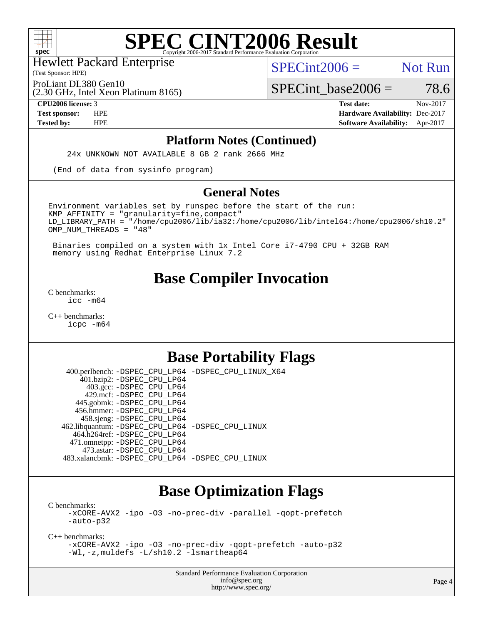

(Test Sponsor: HPE) Hewlett Packard Enterprise

 $SPECint2006 =$  Not Run

ProLiant DL380 Gen10

(2.30 GHz, Intel Xeon Platinum 8165)

 $SPECTnt\_base2006 = 78.6$ 

**[CPU2006 license:](http://www.spec.org/auto/cpu2006/Docs/result-fields.html#CPU2006license)** 3 **[Test date:](http://www.spec.org/auto/cpu2006/Docs/result-fields.html#Testdate)** Nov-2017 **[Test sponsor:](http://www.spec.org/auto/cpu2006/Docs/result-fields.html#Testsponsor)** HPE **[Hardware Availability:](http://www.spec.org/auto/cpu2006/Docs/result-fields.html#HardwareAvailability)** Dec-2017 **[Tested by:](http://www.spec.org/auto/cpu2006/Docs/result-fields.html#Testedby)** HPE **[Software Availability:](http://www.spec.org/auto/cpu2006/Docs/result-fields.html#SoftwareAvailability)** Apr-2017

#### **[Platform Notes \(Continued\)](http://www.spec.org/auto/cpu2006/Docs/result-fields.html#PlatformNotes)**

24x UNKNOWN NOT AVAILABLE 8 GB 2 rank 2666 MHz

(End of data from sysinfo program)

#### **[General Notes](http://www.spec.org/auto/cpu2006/Docs/result-fields.html#GeneralNotes)**

Environment variables set by runspec before the start of the run:  $KMP$  AFFINITY = "granularity=fine, compact" LD\_LIBRARY\_PATH = "/home/cpu2006/lib/ia32:/home/cpu2006/lib/intel64:/home/cpu2006/sh10.2" OMP\_NUM\_THREADS = "48"

 Binaries compiled on a system with 1x Intel Core i7-4790 CPU + 32GB RAM memory using Redhat Enterprise Linux 7.2

# **[Base Compiler Invocation](http://www.spec.org/auto/cpu2006/Docs/result-fields.html#BaseCompilerInvocation)**

[C benchmarks](http://www.spec.org/auto/cpu2006/Docs/result-fields.html#Cbenchmarks): [icc -m64](http://www.spec.org/cpu2006/results/res2017q4/cpu2006-20171128-50845.flags.html#user_CCbase_intel_icc_64bit_bda6cc9af1fdbb0edc3795bac97ada53)

[C++ benchmarks:](http://www.spec.org/auto/cpu2006/Docs/result-fields.html#CXXbenchmarks) [icpc -m64](http://www.spec.org/cpu2006/results/res2017q4/cpu2006-20171128-50845.flags.html#user_CXXbase_intel_icpc_64bit_fc66a5337ce925472a5c54ad6a0de310)

# **[Base Portability Flags](http://www.spec.org/auto/cpu2006/Docs/result-fields.html#BasePortabilityFlags)**

 400.perlbench: [-DSPEC\\_CPU\\_LP64](http://www.spec.org/cpu2006/results/res2017q4/cpu2006-20171128-50845.flags.html#b400.perlbench_basePORTABILITY_DSPEC_CPU_LP64) [-DSPEC\\_CPU\\_LINUX\\_X64](http://www.spec.org/cpu2006/results/res2017q4/cpu2006-20171128-50845.flags.html#b400.perlbench_baseCPORTABILITY_DSPEC_CPU_LINUX_X64) 401.bzip2: [-DSPEC\\_CPU\\_LP64](http://www.spec.org/cpu2006/results/res2017q4/cpu2006-20171128-50845.flags.html#suite_basePORTABILITY401_bzip2_DSPEC_CPU_LP64) 403.gcc: [-DSPEC\\_CPU\\_LP64](http://www.spec.org/cpu2006/results/res2017q4/cpu2006-20171128-50845.flags.html#suite_basePORTABILITY403_gcc_DSPEC_CPU_LP64) 429.mcf: [-DSPEC\\_CPU\\_LP64](http://www.spec.org/cpu2006/results/res2017q4/cpu2006-20171128-50845.flags.html#suite_basePORTABILITY429_mcf_DSPEC_CPU_LP64) 445.gobmk: [-DSPEC\\_CPU\\_LP64](http://www.spec.org/cpu2006/results/res2017q4/cpu2006-20171128-50845.flags.html#suite_basePORTABILITY445_gobmk_DSPEC_CPU_LP64) 456.hmmer: [-DSPEC\\_CPU\\_LP64](http://www.spec.org/cpu2006/results/res2017q4/cpu2006-20171128-50845.flags.html#suite_basePORTABILITY456_hmmer_DSPEC_CPU_LP64) 458.sjeng: [-DSPEC\\_CPU\\_LP64](http://www.spec.org/cpu2006/results/res2017q4/cpu2006-20171128-50845.flags.html#suite_basePORTABILITY458_sjeng_DSPEC_CPU_LP64) 462.libquantum: [-DSPEC\\_CPU\\_LP64](http://www.spec.org/cpu2006/results/res2017q4/cpu2006-20171128-50845.flags.html#suite_basePORTABILITY462_libquantum_DSPEC_CPU_LP64) [-DSPEC\\_CPU\\_LINUX](http://www.spec.org/cpu2006/results/res2017q4/cpu2006-20171128-50845.flags.html#b462.libquantum_baseCPORTABILITY_DSPEC_CPU_LINUX) 464.h264ref: [-DSPEC\\_CPU\\_LP64](http://www.spec.org/cpu2006/results/res2017q4/cpu2006-20171128-50845.flags.html#suite_basePORTABILITY464_h264ref_DSPEC_CPU_LP64) 471.omnetpp: [-DSPEC\\_CPU\\_LP64](http://www.spec.org/cpu2006/results/res2017q4/cpu2006-20171128-50845.flags.html#suite_basePORTABILITY471_omnetpp_DSPEC_CPU_LP64) 473.astar: [-DSPEC\\_CPU\\_LP64](http://www.spec.org/cpu2006/results/res2017q4/cpu2006-20171128-50845.flags.html#suite_basePORTABILITY473_astar_DSPEC_CPU_LP64) 483.xalancbmk: [-DSPEC\\_CPU\\_LP64](http://www.spec.org/cpu2006/results/res2017q4/cpu2006-20171128-50845.flags.html#suite_basePORTABILITY483_xalancbmk_DSPEC_CPU_LP64) [-DSPEC\\_CPU\\_LINUX](http://www.spec.org/cpu2006/results/res2017q4/cpu2006-20171128-50845.flags.html#b483.xalancbmk_baseCXXPORTABILITY_DSPEC_CPU_LINUX)

# **[Base Optimization Flags](http://www.spec.org/auto/cpu2006/Docs/result-fields.html#BaseOptimizationFlags)**

[C benchmarks](http://www.spec.org/auto/cpu2006/Docs/result-fields.html#Cbenchmarks): [-xCORE-AVX2](http://www.spec.org/cpu2006/results/res2017q4/cpu2006-20171128-50845.flags.html#user_CCbase_f-xCORE-AVX2) [-ipo](http://www.spec.org/cpu2006/results/res2017q4/cpu2006-20171128-50845.flags.html#user_CCbase_f-ipo) [-O3](http://www.spec.org/cpu2006/results/res2017q4/cpu2006-20171128-50845.flags.html#user_CCbase_f-O3) [-no-prec-div](http://www.spec.org/cpu2006/results/res2017q4/cpu2006-20171128-50845.flags.html#user_CCbase_f-no-prec-div) [-parallel](http://www.spec.org/cpu2006/results/res2017q4/cpu2006-20171128-50845.flags.html#user_CCbase_f-parallel) [-qopt-prefetch](http://www.spec.org/cpu2006/results/res2017q4/cpu2006-20171128-50845.flags.html#user_CCbase_f-qopt-prefetch) [-auto-p32](http://www.spec.org/cpu2006/results/res2017q4/cpu2006-20171128-50845.flags.html#user_CCbase_f-auto-p32)

[C++ benchmarks:](http://www.spec.org/auto/cpu2006/Docs/result-fields.html#CXXbenchmarks)

[-xCORE-AVX2](http://www.spec.org/cpu2006/results/res2017q4/cpu2006-20171128-50845.flags.html#user_CXXbase_f-xCORE-AVX2) [-ipo](http://www.spec.org/cpu2006/results/res2017q4/cpu2006-20171128-50845.flags.html#user_CXXbase_f-ipo) [-O3](http://www.spec.org/cpu2006/results/res2017q4/cpu2006-20171128-50845.flags.html#user_CXXbase_f-O3) [-no-prec-div](http://www.spec.org/cpu2006/results/res2017q4/cpu2006-20171128-50845.flags.html#user_CXXbase_f-no-prec-div) [-qopt-prefetch](http://www.spec.org/cpu2006/results/res2017q4/cpu2006-20171128-50845.flags.html#user_CXXbase_f-qopt-prefetch) [-auto-p32](http://www.spec.org/cpu2006/results/res2017q4/cpu2006-20171128-50845.flags.html#user_CXXbase_f-auto-p32) [-Wl,-z,muldefs](http://www.spec.org/cpu2006/results/res2017q4/cpu2006-20171128-50845.flags.html#user_CXXbase_link_force_multiple1_74079c344b956b9658436fd1b6dd3a8a) [-L/sh10.2 -lsmartheap64](http://www.spec.org/cpu2006/results/res2017q4/cpu2006-20171128-50845.flags.html#user_CXXbase_SmartHeap64_63911d860fc08c15fa1d5bf319b9d8d5)

> Standard Performance Evaluation Corporation [info@spec.org](mailto:info@spec.org) <http://www.spec.org/>